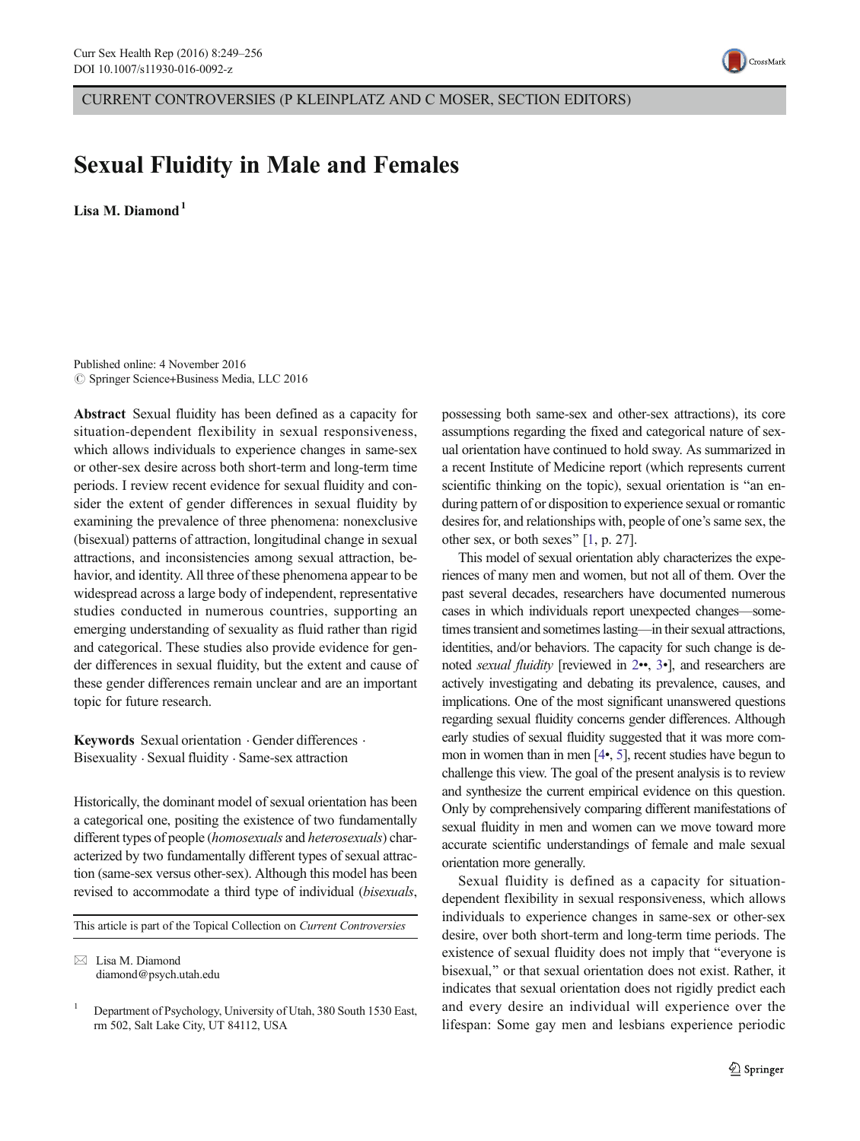

# Sexual Fluidity in Male and Females

Lisa M. Diamond<sup>1</sup>

Published online: 4 November 2016  $©$  Springer Science+Business Media, LLC 2016

Abstract Sexual fluidity has been defined as a capacity for situation-dependent flexibility in sexual responsiveness, which allows individuals to experience changes in same-sex or other-sex desire across both short-term and long-term time periods. I review recent evidence for sexual fluidity and consider the extent of gender differences in sexual fluidity by examining the prevalence of three phenomena: nonexclusive (bisexual) patterns of attraction, longitudinal change in sexual attractions, and inconsistencies among sexual attraction, behavior, and identity. All three of these phenomena appear to be widespread across a large body of independent, representative studies conducted in numerous countries, supporting an emerging understanding of sexuality as fluid rather than rigid and categorical. These studies also provide evidence for gender differences in sexual fluidity, but the extent and cause of these gender differences remain unclear and are an important topic for future research.

Keywords Sexual orientation · Gender differences · Bisexuality . Sexual fluidity . Same-sex attraction

Historically, the dominant model of sexual orientation has been a categorical one, positing the existence of two fundamentally different types of people (homosexuals and heterosexuals) characterized by two fundamentally different types of sexual attraction (same-sex versus other-sex). Although this model has been revised to accommodate a third type of individual (bisexuals,

This article is part of the Topical Collection on Current Controversies

 $\boxtimes$  Lisa M. Diamond diamond@psych.utah.edu possessing both same-sex and other-sex attractions), its core assumptions regarding the fixed and categorical nature of sexual orientation have continued to hold sway. As summarized in a recent Institute of Medicine report (which represents current scientific thinking on the topic), sexual orientation is "an enduring pattern of or disposition to experience sexual or romantic desires for, and relationships with, people of one's same sex, the other sex, or both sexes^ [\[1,](#page-5-0) p. 27].

This model of sexual orientation ably characterizes the experiences of many men and women, but not all of them. Over the past several decades, researchers have documented numerous cases in which individuals report unexpected changes—sometimes transient and sometimes lasting—in their sexual attractions, identities, and/or behaviors. The capacity for such change is denoted sexual fluidity [reviewed in [2](#page-5-0)••, [3](#page-6-0)•], and researchers are actively investigating and debating its prevalence, causes, and implications. One of the most significant unanswered questions regarding sexual fluidity concerns gender differences. Although early studies of sexual fluidity suggested that it was more common in women than in men [\[4](#page-6-0)•, [5\]](#page-6-0), recent studies have begun to challenge this view. The goal of the present analysis is to review and synthesize the current empirical evidence on this question. Only by comprehensively comparing different manifestations of sexual fluidity in men and women can we move toward more accurate scientific understandings of female and male sexual orientation more generally.

Sexual fluidity is defined as a capacity for situationdependent flexibility in sexual responsiveness, which allows individuals to experience changes in same-sex or other-sex desire, over both short-term and long-term time periods. The existence of sexual fluidity does not imply that "everyone is bisexual," or that sexual orientation does not exist. Rather, it indicates that sexual orientation does not rigidly predict each and every desire an individual will experience over the lifespan: Some gay men and lesbians experience periodic



<sup>1</sup> Department of Psychology, University of Utah, 380 South 1530 East, rm 502, Salt Lake City, UT 84112, USA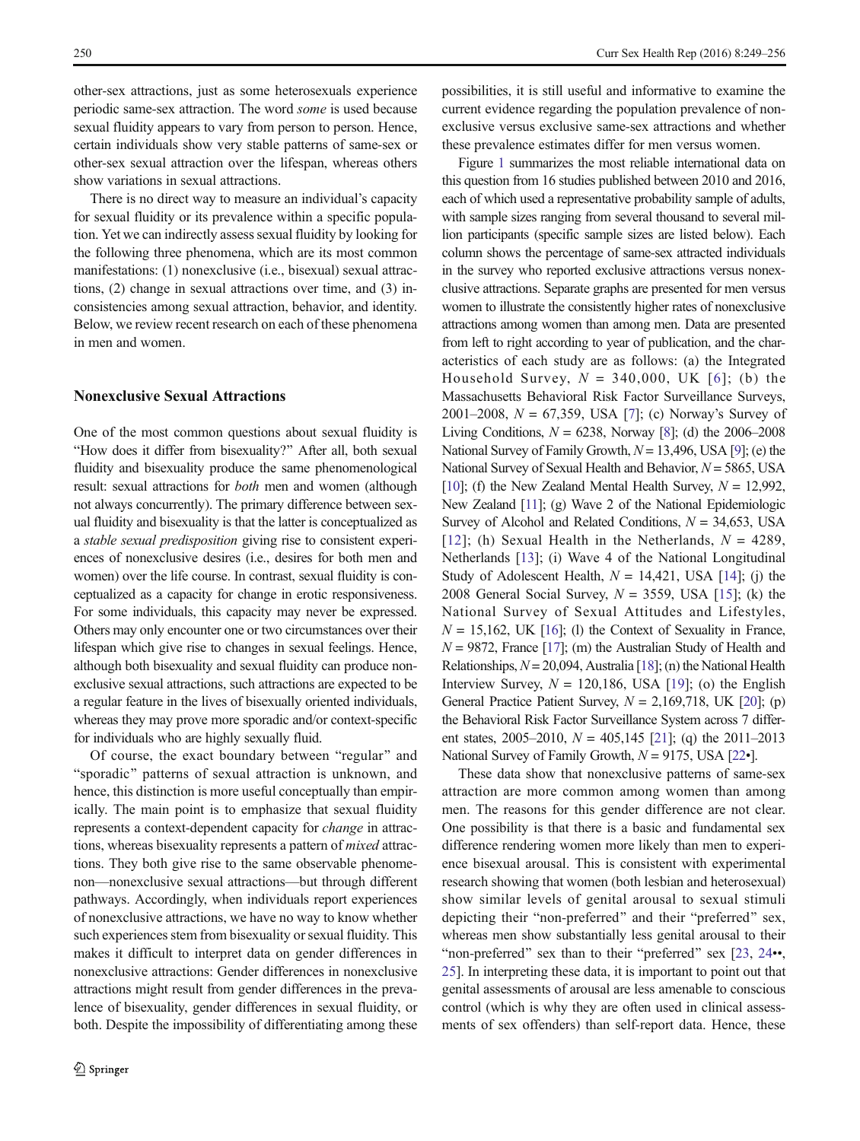other-sex attractions, just as some heterosexuals experience periodic same-sex attraction. The word some is used because sexual fluidity appears to vary from person to person. Hence, certain individuals show very stable patterns of same-sex or other-sex sexual attraction over the lifespan, whereas others show variations in sexual attractions.

There is no direct way to measure an individual's capacity for sexual fluidity or its prevalence within a specific population. Yet we can indirectly assess sexual fluidity by looking for the following three phenomena, which are its most common manifestations: (1) nonexclusive (i.e., bisexual) sexual attractions, (2) change in sexual attractions over time, and (3) inconsistencies among sexual attraction, behavior, and identity. Below, we review recent research on each of these phenomena in men and women.

## Nonexclusive Sexual Attractions

One of the most common questions about sexual fluidity is "How does it differ from bisexuality?" After all, both sexual fluidity and bisexuality produce the same phenomenological result: sexual attractions for both men and women (although not always concurrently). The primary difference between sexual fluidity and bisexuality is that the latter is conceptualized as a stable sexual predisposition giving rise to consistent experiences of nonexclusive desires (i.e., desires for both men and women) over the life course. In contrast, sexual fluidity is conceptualized as a capacity for change in erotic responsiveness. For some individuals, this capacity may never be expressed. Others may only encounter one or two circumstances over their lifespan which give rise to changes in sexual feelings. Hence, although both bisexuality and sexual fluidity can produce nonexclusive sexual attractions, such attractions are expected to be a regular feature in the lives of bisexually oriented individuals, whereas they may prove more sporadic and/or context-specific for individuals who are highly sexually fluid.

Of course, the exact boundary between "regular" and "sporadic" patterns of sexual attraction is unknown, and hence, this distinction is more useful conceptually than empirically. The main point is to emphasize that sexual fluidity represents a context-dependent capacity for change in attractions, whereas bisexuality represents a pattern of mixed attractions. They both give rise to the same observable phenomenon—nonexclusive sexual attractions—but through different pathways. Accordingly, when individuals report experiences of nonexclusive attractions, we have no way to know whether such experiences stem from bisexuality or sexual fluidity. This makes it difficult to interpret data on gender differences in nonexclusive attractions: Gender differences in nonexclusive attractions might result from gender differences in the prevalence of bisexuality, gender differences in sexual fluidity, or both. Despite the impossibility of differentiating among these

possibilities, it is still useful and informative to examine the current evidence regarding the population prevalence of nonexclusive versus exclusive same-sex attractions and whether these prevalence estimates differ for men versus women.

Figure [1](#page-2-0) summarizes the most reliable international data on this question from 16 studies published between 2010 and 2016, each of which used a representative probability sample of adults, with sample sizes ranging from several thousand to several million participants (specific sample sizes are listed below). Each column shows the percentage of same-sex attracted individuals in the survey who reported exclusive attractions versus nonexclusive attractions. Separate graphs are presented for men versus women to illustrate the consistently higher rates of nonexclusive attractions among women than among men. Data are presented from left to right according to year of publication, and the characteristics of each study are as follows: (a) the Integrated Household Survey,  $N = 340,000$ , UK [[6](#page-6-0)]; (b) the Massachusetts Behavioral Risk Factor Surveillance Surveys, 2001–2008,  $N = 67,359$ , USA [\[7\]](#page-6-0); (c) Norway's Survey of Living Conditions,  $N = 6238$ , Norway [\[8](#page-6-0)]; (d) the 2006–2008 National Survey of Family Growth,  $N = 13,496$  $N = 13,496$  $N = 13,496$ , USA [9]; (e) the National Survey of Sexual Health and Behavior,  $N = 5865$ , USA [\[10](#page-6-0)]; (f) the New Zealand Mental Health Survey,  $N = 12,992$ , New Zealand [[11\]](#page-6-0); (g) Wave 2 of the National Epidemiologic Survey of Alcohol and Related Conditions,  $N = 34,653$ , USA [[12](#page-6-0)]; (h) Sexual Health in the Netherlands,  $N = 4289$ , Netherlands [[13](#page-6-0)]; (i) Wave 4 of the National Longitudinal Study of Adolescent Health,  $N = 14,421$ , USA [\[14\]](#page-6-0); (j) the 2008 General Social Survey,  $N = 3559$ , USA [[15\]](#page-6-0); (k) the National Survey of Sexual Attitudes and Lifestyles,  $N = 15,162$ , UK [\[16\]](#page-6-0); (1) the Context of Sexuality in France,  $N = 9872$ , France [[17](#page-6-0)]; (m) the Australian Study of Health and Relationships,  $N = 20,094$ , Australia [\[18](#page-6-0)]; (n) the National Health Interview Survey,  $N = 120,186$ , USA [\[19](#page-6-0)]; (o) the English General Practice Patient Survey,  $N = 2,169,718$ , UK [\[20](#page-6-0)]; (p) the Behavioral Risk Factor Surveillance System across 7 different states, 2005–2010,  $N = 405,145$  [\[21\]](#page-6-0); (q) the 2011–2013 National Survey of Family Growth,  $N = 9175$ , USA  $[22 \cdot]$  $[22 \cdot]$ .

These data show that nonexclusive patterns of same-sex attraction are more common among women than among men. The reasons for this gender difference are not clear. One possibility is that there is a basic and fundamental sex difference rendering women more likely than men to experience bisexual arousal. This is consistent with experimental research showing that women (both lesbian and heterosexual) show similar levels of genital arousal to sexual stimuli depicting their "non-preferred" and their "preferred" sex, whereas men show substantially less genital arousal to their "non-preferred" sex than to their "preferred" sex  $[23, 24 \bullet, ]$  $[23, 24 \bullet, ]$  $[23, 24 \bullet, ]$  $[23, 24 \bullet, ]$ [25\]](#page-6-0). In interpreting these data, it is important to point out that genital assessments of arousal are less amenable to conscious control (which is why they are often used in clinical assessments of sex offenders) than self-report data. Hence, these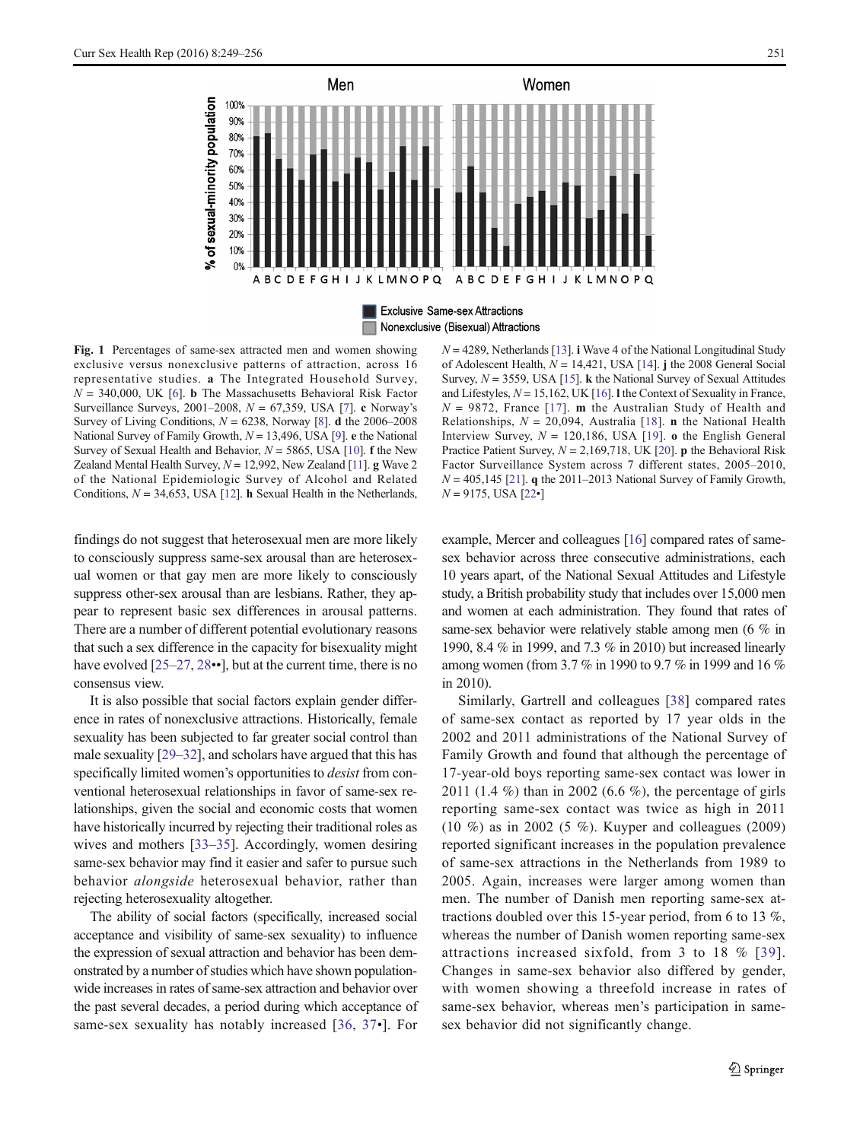<span id="page-2-0"></span>



Fig. 1 Percentages of same-sex attracted men and women showing exclusive versus nonexclusive patterns of attraction, across 16 representative studies. a The Integrated Household Survey,  $N = 340,000$ , UK [\[6\]](#page-6-0). **b** The Massachusetts Behavioral Risk Factor Surveillance Surveys, 2001–2008,  $N = 67,359$  $N = 67,359$  $N = 67,359$ , USA [7]. c Norway's Survey of Living Conditions,  $N = 6238$ , Norway [\[8\]](#page-6-0). d the 2006–2008 National Survey of Family Growth,  $N = 13,496$ , USA [\[9](#page-6-0)]. e the National Survey of Sexual Health and Behavior,  $N = 5865$ , USA [[10](#page-6-0)]. **f** the New Zealand Mental Health Survey,  $N = 12,992$ , New Zealand [[11\]](#page-6-0). g Wave 2 of the National Epidemiologic Survey of Alcohol and Related Conditions,  $N = 34,653$ , USA [\[12\]](#page-6-0). **h** Sexual Health in the Netherlands,

findings do not suggest that heterosexual men are more likely to consciously suppress same-sex arousal than are heterosexual women or that gay men are more likely to consciously suppress other-sex arousal than are lesbians. Rather, they appear to represent basic sex differences in arousal patterns. There are a number of different potential evolutionary reasons that such a sex difference in the capacity for bisexuality might have evolved [[25](#page-6-0)–[27](#page-6-0), [28](#page-6-0)••], but at the current time, there is no consensus view.

It is also possible that social factors explain gender difference in rates of nonexclusive attractions. Historically, female sexuality has been subjected to far greater social control than male sexuality [\[29](#page-6-0)–[32\]](#page-6-0), and scholars have argued that this has specifically limited women's opportunities to desist from conventional heterosexual relationships in favor of same-sex relationships, given the social and economic costs that women have historically incurred by rejecting their traditional roles as wives and mothers [[33](#page-6-0)–[35\]](#page-6-0). Accordingly, women desiring same-sex behavior may find it easier and safer to pursue such behavior alongside heterosexual behavior, rather than rejecting heterosexuality altogether.

The ability of social factors (specifically, increased social acceptance and visibility of same-sex sexuality) to influence the expression of sexual attraction and behavior has been demonstrated by a number of studies which have shown populationwide increases in rates of same-sex attraction and behavior over the past several decades, a period during which acceptance of same-sex sexuality has notably increased [[36](#page-6-0), [37](#page-6-0)•]. For

 $N = 4289$ , Netherlands [[13\]](#page-6-0). i Wave 4 of the National Longitudinal Study of Adolescent Health,  $N = 14,421$ , USA [\[14](#page-6-0)]. j the 2008 General Social Survey,  $N = 3559$ , USA [\[15\]](#page-6-0). **k** the National Survey of Sexual Attitudes and Lifestyles,  $N = 15,162$ , UK [\[16\]](#page-6-0). I the Context of Sexuality in France,  $N = 9872$ , France [[17\]](#page-6-0). **m** the Australian Study of Health and Relationships,  $N = 20,094$ , Australia [[18\]](#page-6-0). **n** the National Health Interview Survey,  $N = 120,186$ , USA [[19\]](#page-6-0). o the English General Practice Patient Survey,  $N = 2,169,718$ , UK [\[20](#page-6-0)]. **p** the Behavioral Risk Factor Surveillance System across 7 different states, 2005–2010,  $N = 405,145$  [[21](#page-6-0)]. q the 2011–2013 National Survey of Family Growth,  $N = 9175$ , USA [\[22](#page-6-0)•]

example, Mercer and colleagues [\[16\]](#page-6-0) compared rates of samesex behavior across three consecutive administrations, each 10 years apart, of the National Sexual Attitudes and Lifestyle study, a British probability study that includes over 15,000 men and women at each administration. They found that rates of same-sex behavior were relatively stable among men (6 % in 1990, 8.4 % in 1999, and 7.3 % in 2010) but increased linearly among women (from 3.7 % in 1990 to 9.7 % in 1999 and 16 % in 2010).

Similarly, Gartrell and colleagues [\[38\]](#page-6-0) compared rates of same-sex contact as reported by 17 year olds in the 2002 and 2011 administrations of the National Survey of Family Growth and found that although the percentage of 17-year-old boys reporting same-sex contact was lower in 2011 (1.4 %) than in 2002 (6.6 %), the percentage of girls reporting same-sex contact was twice as high in 2011 (10 %) as in 2002 (5 %). Kuyper and colleagues (2009) reported significant increases in the population prevalence of same-sex attractions in the Netherlands from 1989 to 2005. Again, increases were larger among women than men. The number of Danish men reporting same-sex attractions doubled over this 15-year period, from 6 to 13 %, whereas the number of Danish women reporting same-sex attractions increased sixfold, from 3 to 18 % [[39\]](#page-6-0). Changes in same-sex behavior also differed by gender, with women showing a threefold increase in rates of same-sex behavior, whereas men's participation in samesex behavior did not significantly change.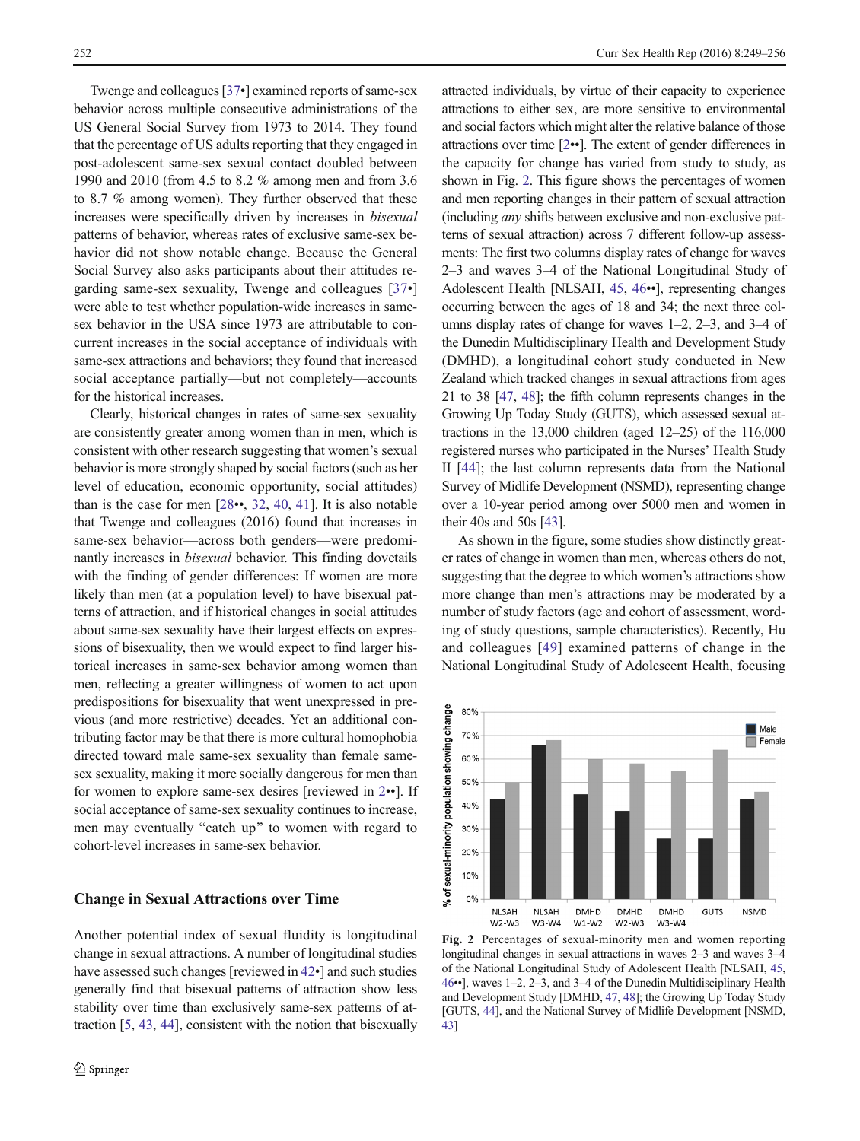<span id="page-3-0"></span>Twenge and colleagues [[37](#page-6-0)•] examined reports of same-sex behavior across multiple consecutive administrations of the US General Social Survey from 1973 to 2014. They found that the percentage of US adults reporting that they engaged in post-adolescent same-sex sexual contact doubled between 1990 and 2010 (from 4.5 to 8.2 % among men and from 3.6 to 8.7 % among women). They further observed that these increases were specifically driven by increases in bisexual patterns of behavior, whereas rates of exclusive same-sex behavior did not show notable change. Because the General Social Survey also asks participants about their attitudes regarding same-sex sexuality, Twenge and colleagues [\[37](#page-6-0)•] were able to test whether population-wide increases in samesex behavior in the USA since 1973 are attributable to concurrent increases in the social acceptance of individuals with same-sex attractions and behaviors; they found that increased social acceptance partially—but not completely—accounts for the historical increases.

Clearly, historical changes in rates of same-sex sexuality are consistently greater among women than in men, which is consistent with other research suggesting that women's sexual behavior is more strongly shaped by social factors (such as her level of education, economic opportunity, social attitudes) than is the case for men [\[28](#page-6-0)••, [32](#page-6-0), [40,](#page-6-0) [41\]](#page-7-0). It is also notable that Twenge and colleagues (2016) found that increases in same-sex behavior—across both genders—were predominantly increases in bisexual behavior. This finding dovetails with the finding of gender differences: If women are more likely than men (at a population level) to have bisexual patterns of attraction, and if historical changes in social attitudes about same-sex sexuality have their largest effects on expressions of bisexuality, then we would expect to find larger historical increases in same-sex behavior among women than men, reflecting a greater willingness of women to act upon predispositions for bisexuality that went unexpressed in previous (and more restrictive) decades. Yet an additional contributing factor may be that there is more cultural homophobia directed toward male same-sex sexuality than female samesex sexuality, making it more socially dangerous for men than for women to explore same-sex desires [reviewed in [2](#page-5-0)••]. If social acceptance of same-sex sexuality continues to increase, men may eventually "catch up" to women with regard to cohort-level increases in same-sex behavior.

#### Change in Sexual Attractions over Time

Another potential index of sexual fluidity is longitudinal change in sexual attractions. A number of longitudinal studies have assessed such changes [reviewed in [42](#page-7-0)•] and such studies generally find that bisexual patterns of attraction show less stability over time than exclusively same-sex patterns of attraction [\[5](#page-6-0), [43,](#page-7-0) [44\]](#page-7-0), consistent with the notion that bisexually attracted individuals, by virtue of their capacity to experience attractions to either sex, are more sensitive to environmental and social factors which might alter the relative balance of those attractions over time [\[2](#page-5-0)••]. The extent of gender differences in the capacity for change has varied from study to study, as shown in Fig. 2. This figure shows the percentages of women and men reporting changes in their pattern of sexual attraction (including any shifts between exclusive and non-exclusive patterns of sexual attraction) across 7 different follow-up assessments: The first two columns display rates of change for waves 2–3 and waves 3–4 of the National Longitudinal Study of Adolescent Health [NLSAH, [45](#page-7-0), [46](#page-7-0)••], representing changes occurring between the ages of 18 and 34; the next three columns display rates of change for waves 1–2, 2–3, and 3–4 of the Dunedin Multidisciplinary Health and Development Study (DMHD), a longitudinal cohort study conducted in New Zealand which tracked changes in sexual attractions from ages 21 to 38 [\[47,](#page-7-0) [48](#page-7-0)]; the fifth column represents changes in the Growing Up Today Study (GUTS), which assessed sexual attractions in the  $13,000$  children (aged  $12-25$ ) of the  $116,000$ registered nurses who participated in the Nurses' Health Study II [[44\]](#page-7-0); the last column represents data from the National Survey of Midlife Development (NSMD), representing change over a 10-year period among over 5000 men and women in their 40s and 50s [\[43\]](#page-7-0).

As shown in the figure, some studies show distinctly greater rates of change in women than men, whereas others do not, suggesting that the degree to which women's attractions show more change than men's attractions may be moderated by a number of study factors (age and cohort of assessment, wording of study questions, sample characteristics). Recently, Hu and colleagues [[49](#page-7-0)] examined patterns of change in the National Longitudinal Study of Adolescent Health, focusing



Fig. 2 Percentages of sexual-minority men and women reporting longitudinal changes in sexual attractions in waves 2–3 and waves 3–4 of the National Longitudinal Study of Adolescent Health [NLSAH, [45](#page-7-0), [46](#page-7-0)••], waves 1–2, 2–3, and 3–4 of the Dunedin Multidisciplinary Health and Development Study [DMHD, [47,](#page-7-0) [48](#page-7-0)]; the Growing Up Today Study [GUTS, [44](#page-7-0)], and the National Survey of Midlife Development [NSMD, [43](#page-7-0)]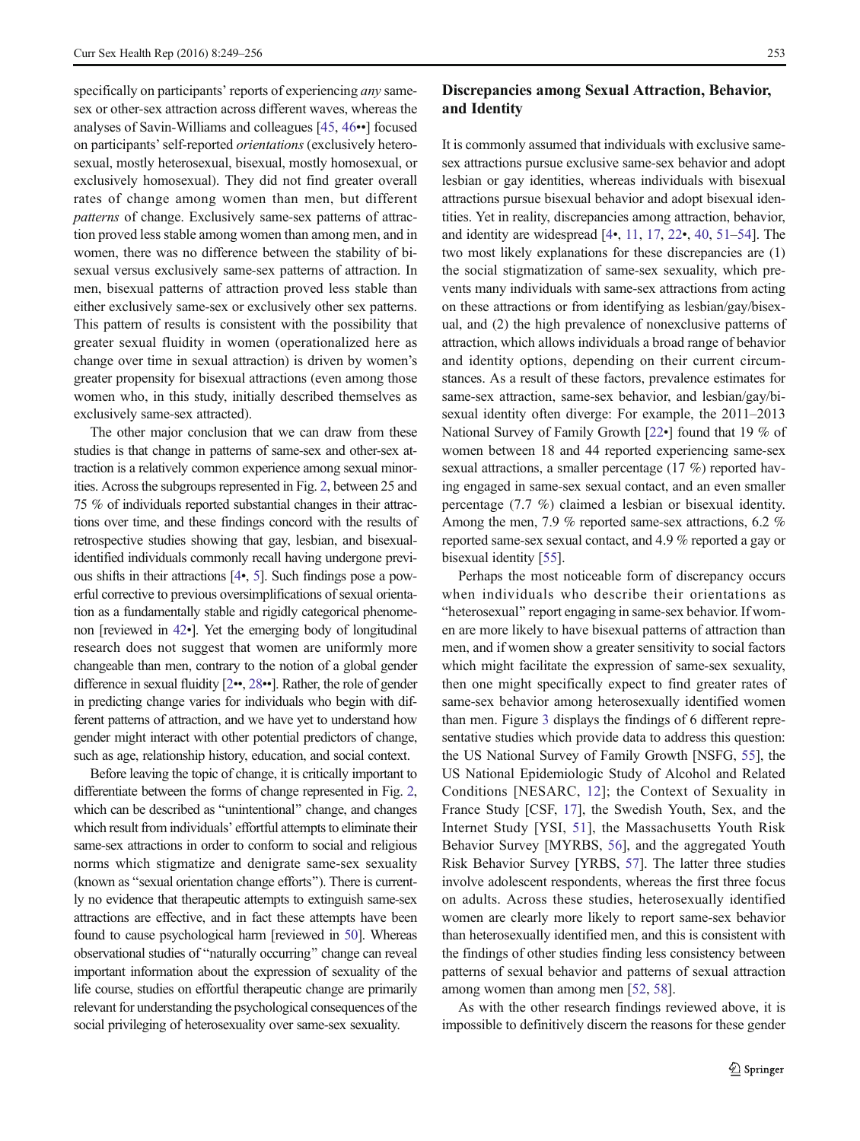specifically on participants' reports of experiencing *any* samesex or other-sex attraction across different waves, whereas the analyses of Savin-Williams and colleagues [\[45,](#page-7-0) [46](#page-7-0)••] focused on participants'self-reported orientations (exclusively heterosexual, mostly heterosexual, bisexual, mostly homosexual, or exclusively homosexual). They did not find greater overall rates of change among women than men, but different patterns of change. Exclusively same-sex patterns of attraction proved less stable among women than among men, and in women, there was no difference between the stability of bisexual versus exclusively same-sex patterns of attraction. In men, bisexual patterns of attraction proved less stable than either exclusively same-sex or exclusively other sex patterns. This pattern of results is consistent with the possibility that greater sexual fluidity in women (operationalized here as change over time in sexual attraction) is driven by women's greater propensity for bisexual attractions (even among those women who, in this study, initially described themselves as exclusively same-sex attracted).

The other major conclusion that we can draw from these studies is that change in patterns of same-sex and other-sex attraction is a relatively common experience among sexual minorities. Across the subgroups represented in Fig. [2](#page-3-0), between 25 and 75 % of individuals reported substantial changes in their attractions over time, and these findings concord with the results of retrospective studies showing that gay, lesbian, and bisexualidentified individuals commonly recall having undergone previous shifts in their attractions [\[4](#page-6-0)•, [5](#page-6-0)]. Such findings pose a powerful corrective to previous oversimplifications of sexual orientation as a fundamentally stable and rigidly categorical phenomenon [reviewed in [42](#page-7-0)•]. Yet the emerging body of longitudinal research does not suggest that women are uniformly more changeable than men, contrary to the notion of a global gender difference in sexual fluidity [\[2](#page-5-0)••, [28](#page-6-0)••]. Rather, the role of gender in predicting change varies for individuals who begin with different patterns of attraction, and we have yet to understand how gender might interact with other potential predictors of change, such as age, relationship history, education, and social context.

Before leaving the topic of change, it is critically important to differentiate between the forms of change represented in Fig. [2,](#page-3-0) which can be described as "unintentional" change, and changes which result from individuals' effortful attempts to eliminate their same-sex attractions in order to conform to social and religious norms which stigmatize and denigrate same-sex sexuality (known as "sexual orientation change efforts"). There is currently no evidence that therapeutic attempts to extinguish same-sex attractions are effective, and in fact these attempts have been found to cause psychological harm [reviewed in [50\]](#page-7-0). Whereas observational studies of "naturally occurring" change can reveal important information about the expression of sexuality of the life course, studies on effortful therapeutic change are primarily relevant for understanding the psychological consequences of the social privileging of heterosexuality over same-sex sexuality.

## Discrepancies among Sexual Attraction, Behavior, and Identity

It is commonly assumed that individuals with exclusive samesex attractions pursue exclusive same-sex behavior and adopt lesbian or gay identities, whereas individuals with bisexual attractions pursue bisexual behavior and adopt bisexual identities. Yet in reality, discrepancies among attraction, behavior, and identity are widespread [[4](#page-6-0)•, [11,](#page-6-0) [17,](#page-6-0) [22](#page-6-0)•, [40,](#page-6-0) [51](#page-7-0)–[54\]](#page-7-0). The two most likely explanations for these discrepancies are (1) the social stigmatization of same-sex sexuality, which prevents many individuals with same-sex attractions from acting on these attractions or from identifying as lesbian/gay/bisexual, and (2) the high prevalence of nonexclusive patterns of attraction, which allows individuals a broad range of behavior and identity options, depending on their current circumstances. As a result of these factors, prevalence estimates for same-sex attraction, same-sex behavior, and lesbian/gay/bisexual identity often diverge: For example, the 2011–2013 National Survey of Family Growth [\[22](#page-6-0)•] found that 19 % of women between 18 and 44 reported experiencing same-sex sexual attractions, a smaller percentage (17 %) reported having engaged in same-sex sexual contact, and an even smaller percentage (7.7 %) claimed a lesbian or bisexual identity. Among the men, 7.9 % reported same-sex attractions, 6.2 % reported same-sex sexual contact, and 4.9 % reported a gay or bisexual identity [\[55\]](#page-7-0).

Perhaps the most noticeable form of discrepancy occurs when individuals who describe their orientations as "heterosexual" report engaging in same-sex behavior. If women are more likely to have bisexual patterns of attraction than men, and if women show a greater sensitivity to social factors which might facilitate the expression of same-sex sexuality, then one might specifically expect to find greater rates of same-sex behavior among heterosexually identified women than men. Figure [3](#page-5-0) displays the findings of 6 different representative studies which provide data to address this question: the US National Survey of Family Growth [NSFG, [55\]](#page-7-0), the US National Epidemiologic Study of Alcohol and Related Conditions [NESARC, [12\]](#page-6-0); the Context of Sexuality in France Study [CSF, [17](#page-6-0)], the Swedish Youth, Sex, and the Internet Study [YSI, [51\]](#page-7-0), the Massachusetts Youth Risk Behavior Survey [MYRBS, [56\]](#page-7-0), and the aggregated Youth Risk Behavior Survey [YRBS, [57\]](#page-7-0). The latter three studies involve adolescent respondents, whereas the first three focus on adults. Across these studies, heterosexually identified women are clearly more likely to report same-sex behavior than heterosexually identified men, and this is consistent with the findings of other studies finding less consistency between patterns of sexual behavior and patterns of sexual attraction among women than among men [[52,](#page-7-0) [58\]](#page-7-0).

As with the other research findings reviewed above, it is impossible to definitively discern the reasons for these gender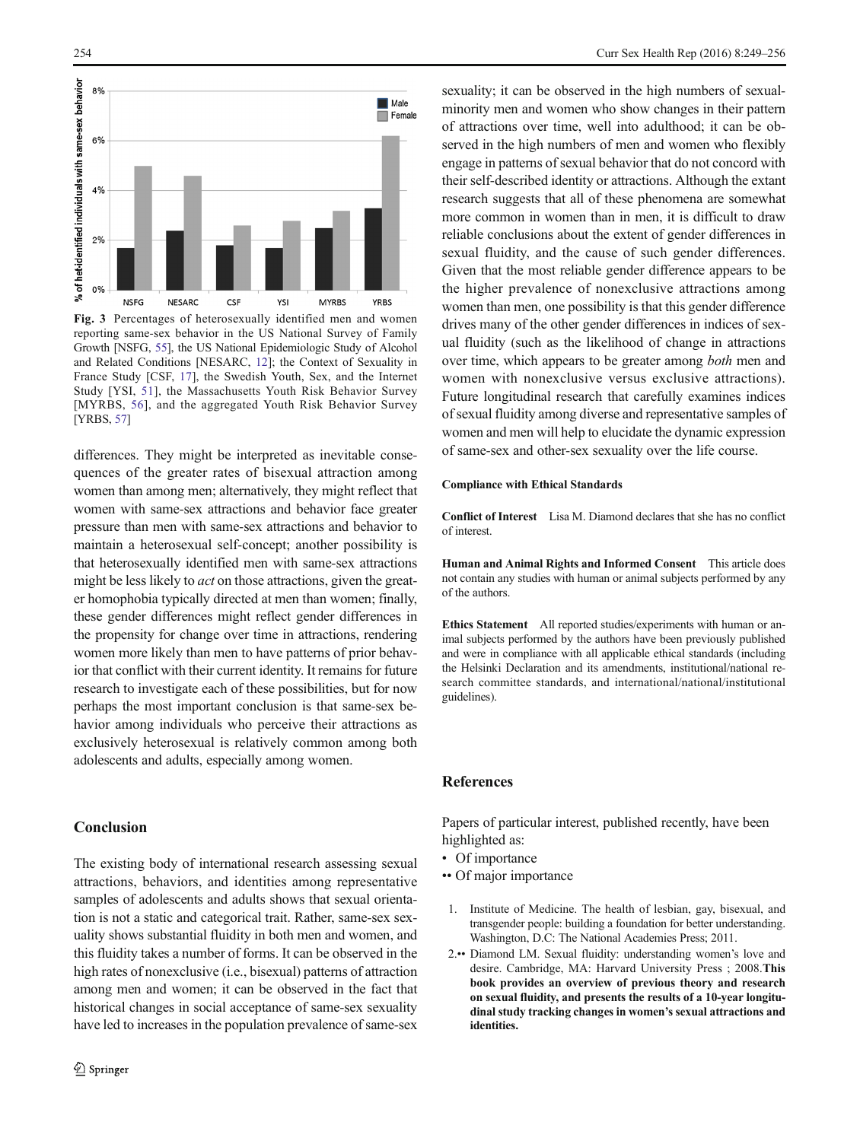<span id="page-5-0"></span>

Fig. 3 Percentages of heterosexually identified men and women reporting same-sex behavior in the US National Survey of Family Growth [NSFG, [55\]](#page-7-0), the US National Epidemiologic Study of Alcohol and Related Conditions [NESARC, [12\]](#page-6-0); the Context of Sexuality in France Study [CSF, [17](#page-6-0)], the Swedish Youth, Sex, and the Internet Study [YSI, [51\]](#page-7-0), the Massachusetts Youth Risk Behavior Survey [MYRBS, [56\]](#page-7-0), and the aggregated Youth Risk Behavior Survey [YRBS, [57\]](#page-7-0)

differences. They might be interpreted as inevitable consequences of the greater rates of bisexual attraction among women than among men; alternatively, they might reflect that women with same-sex attractions and behavior face greater pressure than men with same-sex attractions and behavior to maintain a heterosexual self-concept; another possibility is that heterosexually identified men with same-sex attractions might be less likely to *act* on those attractions, given the greater homophobia typically directed at men than women; finally, these gender differences might reflect gender differences in the propensity for change over time in attractions, rendering women more likely than men to have patterns of prior behavior that conflict with their current identity. It remains for future research to investigate each of these possibilities, but for now perhaps the most important conclusion is that same-sex behavior among individuals who perceive their attractions as exclusively heterosexual is relatively common among both adolescents and adults, especially among women.

# **Conclusion**

The existing body of international research assessing sexual attractions, behaviors, and identities among representative samples of adolescents and adults shows that sexual orientation is not a static and categorical trait. Rather, same-sex sexuality shows substantial fluidity in both men and women, and this fluidity takes a number of forms. It can be observed in the high rates of nonexclusive (i.e., bisexual) patterns of attraction among men and women; it can be observed in the fact that historical changes in social acceptance of same-sex sexuality have led to increases in the population prevalence of same-sex

sexuality; it can be observed in the high numbers of sexualminority men and women who show changes in their pattern of attractions over time, well into adulthood; it can be observed in the high numbers of men and women who flexibly engage in patterns of sexual behavior that do not concord with their self-described identity or attractions. Although the extant research suggests that all of these phenomena are somewhat more common in women than in men, it is difficult to draw reliable conclusions about the extent of gender differences in sexual fluidity, and the cause of such gender differences. Given that the most reliable gender difference appears to be the higher prevalence of nonexclusive attractions among women than men, one possibility is that this gender difference drives many of the other gender differences in indices of sexual fluidity (such as the likelihood of change in attractions over time, which appears to be greater among both men and women with nonexclusive versus exclusive attractions). Future longitudinal research that carefully examines indices of sexual fluidity among diverse and representative samples of women and men will help to elucidate the dynamic expression of same-sex and other-sex sexuality over the life course.

#### Compliance with Ethical Standards

Conflict of Interest Lisa M. Diamond declares that she has no conflict of interest.

Human and Animal Rights and Informed Consent This article does not contain any studies with human or animal subjects performed by any of the authors.

Ethics Statement All reported studies/experiments with human or animal subjects performed by the authors have been previously published and were in compliance with all applicable ethical standards (including the Helsinki Declaration and its amendments, institutional/national research committee standards, and international/national/institutional guidelines).

#### **References**

Papers of particular interest, published recently, have been highlighted as:

- Of importance
- •• Of major importance
- 1. Institute of Medicine. The health of lesbian, gay, bisexual, and transgender people: building a foundation for better understanding. Washington, D.C: The National Academies Press; 2011.
- 2.•• Diamond LM. Sexual fluidity: understanding women's love and desire. Cambridge, MA: Harvard University Press ; 2008.This book provides an overview of previous theory and research on sexual fluidity, and presents the results of a 10-year longitudinal study tracking changes in women's sexual attractions and identities.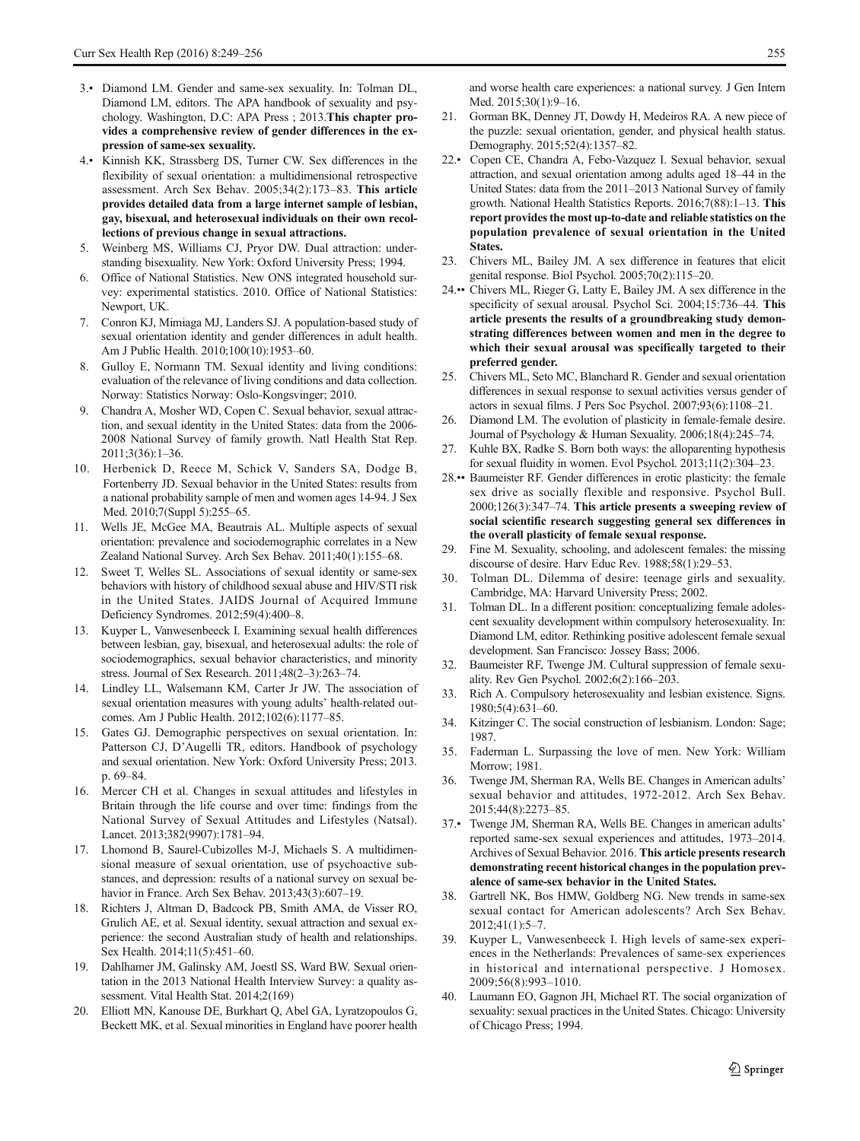- <span id="page-6-0"></span>3.• Diamond LM. Gender and same-sex sexuality. In: Tolman DL, Diamond LM, editors. The APA handbook of sexuality and psychology. Washington, D.C: APA Press ; 2013.This chapter provides a comprehensive review of gender differences in the expression of same-sex sexuality.
- 4.• Kinnish KK, Strassberg DS, Turner CW. Sex differences in the flexibility of sexual orientation: a multidimensional retrospective assessment. Arch Sex Behav. 2005;34(2):173–83. This article provides detailed data from a large internet sample of lesbian, gay, bisexual, and heterosexual individuals on their own recollections of previous change in sexual attractions.
- 5. Weinberg MS, Williams CJ, Pryor DW. Dual attraction: understanding bisexuality. New York: Oxford University Press; 1994.
- 6. Office of National Statistics. New ONS integrated household survey: experimental statistics. 2010. Office of National Statistics: Newport, UK.
- 7. Conron KJ, Mimiaga MJ, Landers SJ. A population-based study of sexual orientation identity and gender differences in adult health. Am J Public Health. 2010;100(10):1953–60.
- 8. Gulloy E, Normann TM. Sexual identity and living conditions: evaluation of the relevance of living conditions and data collection. Norway: Statistics Norway: Oslo-Kongsvinger; 2010.
- 9. Chandra A, Mosher WD, Copen C. Sexual behavior, sexual attraction, and sexual identity in the United States: data from the 2006- 2008 National Survey of family growth. Natl Health Stat Rep. 2011;3(36):1–36.
- 10. Herbenick D, Reece M, Schick V, Sanders SA, Dodge B, Fortenberry JD. Sexual behavior in the United States: results from a national probability sample of men and women ages 14-94. J Sex Med. 2010;7(Suppl 5):255–65.
- 11. Wells JE, McGee MA, Beautrais AL. Multiple aspects of sexual orientation: prevalence and sociodemographic correlates in a New Zealand National Survey. Arch Sex Behav. 2011;40(1):155–68.
- 12. Sweet T, Welles SL. Associations of sexual identity or same-sex behaviors with history of childhood sexual abuse and HIV/STI risk in the United States. JAIDS Journal of Acquired Immune Deficiency Syndromes. 2012;59(4):400–8.
- 13. Kuyper L, Vanwesenbeeck I. Examining sexual health differences between lesbian, gay, bisexual, and heterosexual adults: the role of sociodemographics, sexual behavior characteristics, and minority stress. Journal of Sex Research. 2011;48(2–3):263–74.
- 14. Lindley LL, Walsemann KM, Carter Jr JW. The association of sexual orientation measures with young adults' health-related outcomes. Am J Public Health. 2012;102(6):1177–85.
- 15. Gates GJ. Demographic perspectives on sexual orientation. In: Patterson CJ, D'Augelli TR, editors. Handbook of psychology and sexual orientation. New York: Oxford University Press; 2013. p. 69–84.
- 16. Mercer CH et al. Changes in sexual attitudes and lifestyles in Britain through the life course and over time: findings from the National Survey of Sexual Attitudes and Lifestyles (Natsal). Lancet. 2013;382(9907):1781–94.
- 17. Lhomond B, Saurel-Cubizolles M-J, Michaels S. A multidimensional measure of sexual orientation, use of psychoactive substances, and depression: results of a national survey on sexual behavior in France. Arch Sex Behav. 2013;43(3):607–19.
- 18. Richters J, Altman D, Badcock PB, Smith AMA, de Visser RO, Grulich AE, et al. Sexual identity, sexual attraction and sexual experience: the second Australian study of health and relationships. Sex Health. 2014;11(5):451–60.
- 19. Dahlhamer JM, Galinsky AM, Joestl SS, Ward BW. Sexual orientation in the 2013 National Health Interview Survey: a quality assessment. Vital Health Stat. 2014;2(169)
- 20. Elliott MN, Kanouse DE, Burkhart Q, Abel GA, Lyratzopoulos G, Beckett MK, et al. Sexual minorities in England have poorer health

and worse health care experiences: a national survey. J Gen Intern Med. 2015;30(1):9–16.

- 21. Gorman BK, Denney JT, Dowdy H, Medeiros RA. A new piece of the puzzle: sexual orientation, gender, and physical health status. Demography. 2015;52(4):1357–82.
- 22.• Copen CE, Chandra A, Febo-Vazquez I. Sexual behavior, sexual attraction, and sexual orientation among adults aged 18–44 in the United States: data from the 2011–2013 National Survey of family growth. National Health Statistics Reports. 2016;7(88):1–13. This report provides the most up-to-date and reliable statistics on the population prevalence of sexual orientation in the United States.
- 23. Chivers ML, Bailey JM. A sex difference in features that elicit genital response. Biol Psychol. 2005;70(2):115–20.
- 24.•• Chivers ML, Rieger G, Latty E, Bailey JM. A sex difference in the specificity of sexual arousal. Psychol Sci. 2004;15:736–44. This article presents the results of a groundbreaking study demonstrating differences between women and men in the degree to which their sexual arousal was specifically targeted to their preferred gender.
- 25. Chivers ML, Seto MC, Blanchard R. Gender and sexual orientation differences in sexual response to sexual activities versus gender of actors in sexual films. J Pers Soc Psychol. 2007;93(6):1108–21.
- 26. Diamond LM. The evolution of plasticity in female-female desire. Journal of Psychology & Human Sexuality. 2006;18(4):245–74.
- 27. Kuhle BX, Radke S. Born both ways: the alloparenting hypothesis for sexual fluidity in women. Evol Psychol. 2013;11(2):304–23.
- 28.•• Baumeister RF. Gender differences in erotic plasticity: the female sex drive as socially flexible and responsive. Psychol Bull. 2000;126(3):347–74. This article presents a sweeping review of social scientific research suggesting general sex differences in the overall plasticity of female sexual response.
- 29. Fine M. Sexuality, schooling, and adolescent females: the missing discourse of desire. Harv Educ Rev. 1988;58(1):29–53.
- 30. Tolman DL. Dilemma of desire: teenage girls and sexuality. Cambridge, MA: Harvard University Press; 2002.
- 31. Tolman DL. In a different position: conceptualizing female adolescent sexuality development within compulsory heterosexuality. In: Diamond LM, editor. Rethinking positive adolescent female sexual development. San Francisco: Jossey Bass; 2006.
- 32. Baumeister RF, Twenge JM. Cultural suppression of female sexuality. Rev Gen Psychol. 2002;6(2):166–203.
- 33. Rich A. Compulsory heterosexuality and lesbian existence. Signs. 1980;5(4):631–60.
- 34. Kitzinger C. The social construction of lesbianism. London: Sage; 1987.
- 35. Faderman L. Surpassing the love of men. New York: William Morrow; 1981.
- 36. Twenge JM, Sherman RA, Wells BE. Changes in American adults' sexual behavior and attitudes, 1972-2012. Arch Sex Behav. 2015;44(8):2273–85.
- 37.• Twenge JM, Sherman RA, Wells BE. Changes in american adults' reported same-sex sexual experiences and attitudes, 1973–2014. Archives of Sexual Behavior. 2016. This article presents research demonstrating recent historical changes in the population prevalence of same-sex behavior in the United States.
- 38. Gartrell NK, Bos HMW, Goldberg NG. New trends in same-sex sexual contact for American adolescents? Arch Sex Behav.  $2012:41(1):5-7$ .
- 39. Kuyper L, Vanwesenbeeck I. High levels of same-sex experiences in the Netherlands: Prevalences of same-sex experiences in historical and international perspective. J Homosex. 2009;56(8):993–1010.
- 40. Laumann EO, Gagnon JH, Michael RT. The social organization of sexuality: sexual practices in the United States. Chicago: University of Chicago Press; 1994.